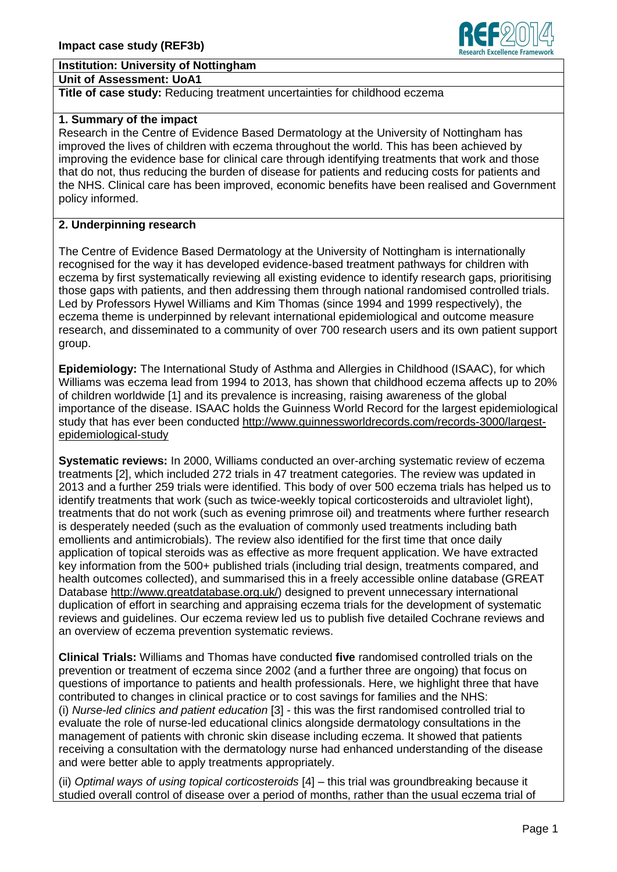# **Institution: University of Nottingham**

### **Unit of Assessment: UoA1**

## **Title of case study:** Reducing treatment uncertainties for childhood eczema

## **1. Summary of the impact**

Research in the Centre of Evidence Based Dermatology at the University of Nottingham has improved the lives of children with eczema throughout the world. This has been achieved by improving the evidence base for clinical care through identifying treatments that work and those that do not, thus reducing the burden of disease for patients and reducing costs for patients and the NHS. Clinical care has been improved, economic benefits have been realised and Government policy informed.

# **2. Underpinning research**

The Centre of Evidence Based Dermatology at the University of Nottingham is internationally recognised for the way it has developed evidence-based treatment pathways for children with eczema by first systematically reviewing all existing evidence to identify research gaps, prioritising those gaps with patients, and then addressing them through national randomised controlled trials. Led by Professors Hywel Williams and Kim Thomas (since 1994 and 1999 respectively), the eczema theme is underpinned by relevant international epidemiological and outcome measure research, and disseminated to a community of over 700 research users and its own patient support group.

**Epidemiology:** The International Study of Asthma and Allergies in Childhood (ISAAC), for which Williams was eczema lead from 1994 to 2013, has shown that childhood eczema affects up to 20% of children worldwide [1] and its prevalence is increasing, raising awareness of the global importance of the disease. ISAAC holds the Guinness World Record for the largest epidemiological study that has ever been conducted [http://www.guinnessworldrecords.com/records-3000/largest](http://www.guinnessworldrecords.com/records-3000/largest-epidemiological-study)[epidemiological-study](http://www.guinnessworldrecords.com/records-3000/largest-epidemiological-study)

**Systematic reviews:** In 2000, Williams conducted an over-arching systematic review of eczema treatments [2], which included 272 trials in 47 treatment categories. The review was updated in 2013 and a further 259 trials were identified. This body of over 500 eczema trials has helped us to identify treatments that work (such as twice-weekly topical corticosteroids and ultraviolet light), treatments that do not work (such as evening primrose oil) and treatments where further research is desperately needed (such as the evaluation of commonly used treatments including bath emollients and antimicrobials). The review also identified for the first time that once daily application of topical steroids was as effective as more frequent application. We have extracted key information from the 500+ published trials (including trial design, treatments compared, and health outcomes collected), and summarised this in a freely accessible online database (GREAT Database [http://www.greatdatabase.org.uk/\)](http://www.greatdatabase.org.uk/) designed to prevent unnecessary international duplication of effort in searching and appraising eczema trials for the development of systematic reviews and guidelines. Our eczema review led us to publish five detailed Cochrane reviews and an overview of eczema prevention systematic reviews.

**Clinical Trials:** Williams and Thomas have conducted **five** randomised controlled trials on the prevention or treatment of eczema since 2002 (and a further three are ongoing) that focus on questions of importance to patients and health professionals. Here, we highlight three that have contributed to changes in clinical practice or to cost savings for families and the NHS: (i) *Nurse-led clinics and patient education* [3] - this was the first randomised controlled trial to evaluate the role of nurse-led educational clinics alongside dermatology consultations in the management of patients with chronic skin disease including eczema. It showed that patients receiving a consultation with the dermatology nurse had enhanced understanding of the disease and were better able to apply treatments appropriately.

(ii) *Optimal ways of using topical corticosteroids* [4] – this trial was groundbreaking because it studied overall control of disease over a period of months, rather than the usual eczema trial of

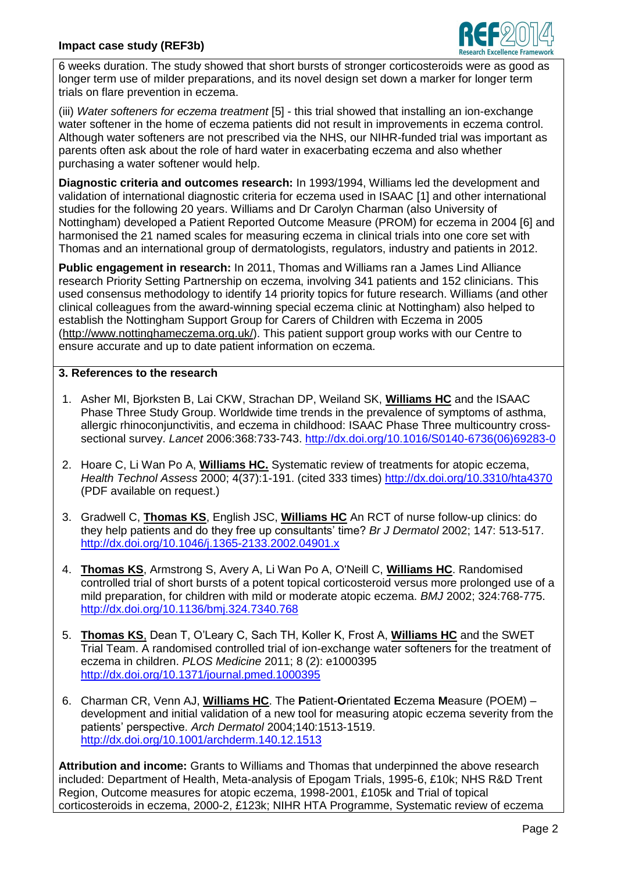

6 weeks duration. The study showed that short bursts of stronger corticosteroids were as good as longer term use of milder preparations, and its novel design set down a marker for longer term trials on flare prevention in eczema.

(iii) *Water softeners for eczema treatment* [5] - this trial showed that installing an ion-exchange water softener in the home of eczema patients did not result in improvements in eczema control. Although water softeners are not prescribed via the NHS, our NIHR-funded trial was important as parents often ask about the role of hard water in exacerbating eczema and also whether purchasing a water softener would help.

**Diagnostic criteria and outcomes research:** In 1993/1994, Williams led the development and validation of international diagnostic criteria for eczema used in ISAAC [1] and other international studies for the following 20 years. Williams and Dr Carolyn Charman (also University of Nottingham) developed a Patient Reported Outcome Measure (PROM) for eczema in 2004 [6] and harmonised the 21 named scales for measuring eczema in clinical trials into one core set with Thomas and an international group of dermatologists, regulators, industry and patients in 2012.

**Public engagement in research:** In 2011, Thomas and Williams ran a James Lind Alliance research Priority Setting Partnership on eczema, involving 341 patients and 152 clinicians. This used consensus methodology to identify 14 priority topics for future research. Williams (and other clinical colleagues from the award-winning special eczema clinic at Nottingham) also helped to establish the Nottingham Support Group for Carers of Children with Eczema in 2005 [\(http://www.nottinghameczema.org.uk/\)](http://www.nottinghameczema.org.uk/). This patient support group works with our Centre to ensure accurate and up to date patient information on eczema.

# **3. References to the research**

- 1. Asher MI, Bjorksten B, Lai CKW, Strachan DP, Weiland SK, **Williams HC** and the ISAAC Phase Three Study Group. Worldwide time trends in the prevalence of symptoms of asthma, allergic rhinoconjunctivitis, and eczema in childhood: ISAAC Phase Three multicountry crosssectional survey. *Lancet* 2006:368:733-743. [http://dx.doi.org/10.1016/S0140-6736\(06\)69283-0](http://dx.doi.org/10.1016/S0140-6736(06)69283-0)
- 2. Hoare C, Li Wan Po A, **Williams HC.** Systematic review of treatments for atopic eczema, *Health Technol Assess* 2000; 4(37):1-191. (cited 333 times) <http://dx.doi.org/10.3310/hta4370> (PDF available on request.)
- 3. Gradwell C, **Thomas KS**, English JSC, **Williams HC** An RCT of nurse follow-up clinics: do they help patients and do they free up consultants' time? *Br J Dermatol* 2002; 147: 513-517. <http://dx.doi.org/10.1046/j.1365-2133.2002.04901.x>
- 4. **Thomas KS**, Armstrong S, Avery A, Li Wan Po A, O'Neill C, **Williams HC**. Randomised controlled trial of short bursts of a potent topical corticosteroid versus more prolonged use of a mild preparation, for children with mild or moderate atopic eczema. *BMJ* 2002; 324:768-775. <http://dx.doi.org/10.1136/bmj.324.7340.768>
- 5. **Thomas KS**, Dean T, O'Leary C, Sach TH, Koller K, Frost A, **Williams HC** and the SWET Trial Team. A randomised controlled trial of ion-exchange water softeners for the treatment of eczema in children. *PLOS Medicine* 2011; 8 (2): e1000395 <http://dx.doi.org/10.1371/journal.pmed.1000395>
- 6. Charman CR, Venn AJ, **Williams HC**. The **P**atient-**O**rientated **E**czema **M**easure (POEM) development and initial validation of a new tool for measuring atopic eczema severity from the patients' perspective. *Arch Dermatol* 2004;140:1513-1519. <http://dx.doi.org/10.1001/archderm.140.12.1513>

**Attribution and income:** Grants to Williams and Thomas that underpinned the above research included: Department of Health, Meta-analysis of Epogam Trials, 1995-6, £10k; NHS R&D Trent Region, Outcome measures for atopic eczema, 1998-2001, £105k and Trial of topical corticosteroids in eczema, 2000-2, £123k; NIHR HTA Programme, Systematic review of eczema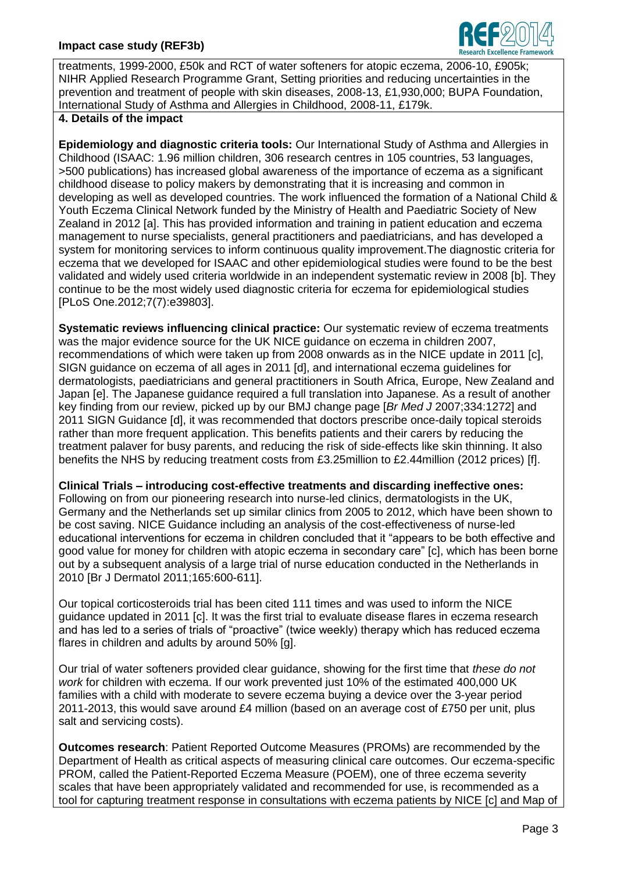

treatments, 1999-2000, £50k and RCT of water softeners for atopic eczema, 2006-10, £905k; NIHR Applied Research Programme Grant, Setting priorities and reducing uncertainties in the prevention and treatment of people with skin diseases, 2008-13, £1,930,000; BUPA Foundation, International Study of Asthma and Allergies in Childhood, 2008-11, £179k.

# **4. Details of the impact**

**Epidemiology and diagnostic criteria tools:** Our International Study of Asthma and Allergies in Childhood (ISAAC: 1.96 million children, 306 research centres in 105 countries, 53 languages, >500 publications) has increased global awareness of the importance of eczema as a significant childhood disease to policy makers by demonstrating that it is increasing and common in developing as well as developed countries. The work influenced the formation of a National Child & Youth Eczema Clinical Network funded by the Ministry of Health and Paediatric Society of New Zealand in 2012 [a]. This has provided information and training in patient education and eczema management to nurse specialists, general practitioners and paediatricians, and has developed a system for monitoring services to inform continuous quality improvement.The diagnostic criteria for eczema that we developed for ISAAC and other epidemiological studies were found to be the best validated and widely used criteria worldwide in an independent systematic review in 2008 [b]. They continue to be the most widely used diagnostic criteria for eczema for epidemiological studies [PLoS One.2012;7(7):e39803].

**Systematic reviews influencing clinical practice:** Our systematic review of eczema treatments was the major evidence source for the UK NICE guidance on eczema in children 2007, recommendations of which were taken up from 2008 onwards as in the NICE update in 2011 [c], SIGN guidance on eczema of all ages in 2011 [d], and international eczema guidelines for dermatologists, paediatricians and general practitioners in South Africa, Europe, New Zealand and Japan [e]. The Japanese guidance required a full translation into Japanese. As a result of another key finding from our review, picked up by our BMJ change page [*Br Med J* 2007;334:1272] and 2011 SIGN Guidance [d], it was recommended that doctors prescribe once-daily topical steroids rather than more frequent application. This benefits patients and their carers by reducing the treatment palaver for busy parents, and reducing the risk of side-effects like skin thinning. It also benefits the NHS by reducing treatment costs from £3.25million to £2.44million (2012 prices) [f].

**Clinical Trials – introducing cost-effective treatments and discarding ineffective ones:**  Following on from our pioneering research into nurse-led clinics, dermatologists in the UK, Germany and the Netherlands set up similar clinics from 2005 to 2012, which have been shown to be cost saving. NICE Guidance including an analysis of the cost-effectiveness of nurse-led educational interventions for eczema in children concluded that it "appears to be both effective and good value for money for children with atopic eczema in secondary care" [c], which has been borne out by a subsequent analysis of a large trial of nurse education conducted in the Netherlands in 2010 [Br J Dermatol 2011;165:600-611].

Our topical corticosteroids trial has been cited 111 times and was used to inform the NICE guidance updated in 2011 [c]. It was the first trial to evaluate disease flares in eczema research and has led to a series of trials of "proactive" (twice weekly) therapy which has reduced eczema flares in children and adults by around 50% [g].

Our trial of water softeners provided clear guidance, showing for the first time that *these do not work* for children with eczema. If our work prevented just 10% of the estimated 400,000 UK families with a child with moderate to severe eczema buying a device over the 3-year period 2011-2013, this would save around £4 million (based on an average cost of £750 per unit, plus salt and servicing costs).

**Outcomes research**: Patient Reported Outcome Measures (PROMs) are recommended by the Department of Health as critical aspects of measuring clinical care outcomes. Our eczema-specific PROM, called the Patient-Reported Eczema Measure (POEM), one of three eczema severity scales that have been appropriately validated and recommended for use, is recommended as a tool for capturing treatment response in consultations with eczema patients by NICE [c] and Map of